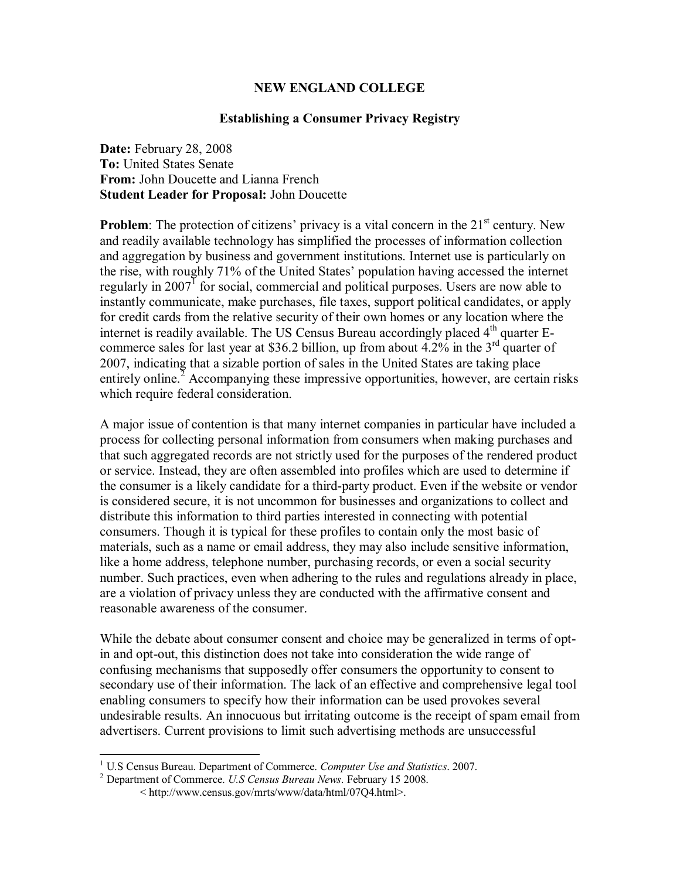## **NEW ENGLAND COLLEGE**

## **Establishing a Consumer Privacy Registry**

**Date:** February 28, 2008 **To:** United States Senate **From:** John Doucette and Lianna French **Student Leader for Proposal:** John Doucette

**Problem**: The protection of citizens' privacy is a vital concern in the 21<sup>st</sup> century. New and readily available technology has simplified the processes of information collection and aggregation by business and government institutions. Internet use is particularly on the rise, with roughly 71% of the United States' population having accessed the internet regularly in 2007<sup>1</sup> for social, commercial and political purposes. Users are now able to instantly communicate, make purchases, file taxes, support political candidates, or apply for credit cards from the relative security of their own homes or any location where the internet is readily available. The US Census Bureau accordingly placed 4<sup>th</sup> quarter Ecommerce sales for last year at \$36.2 billion, up from about  $4.2\%$  in the 3<sup>rd</sup> quarter of 2007, indicating that a sizable portion of sales in the United States are taking place entirely online.<sup>2</sup> Accompanying these impressive opportunities, however, are certain risks which require federal consideration.

A major issue of contention is that many internet companies in particular have included a process for collecting personal information from consumers when making purchases and that such aggregated records are not strictly used for the purposes of the rendered product or service. Instead, they are often assembled into profiles which are used to determine if the consumer is a likely candidate for a third-party product. Even if the website or vendor is considered secure, it is not uncommon for businesses and organizations to collect and distribute this information to third parties interested in connecting with potential consumers. Though it is typical for these profiles to contain only the most basic of materials, such as a name or email address, they may also include sensitive information, like a home address, telephone number, purchasing records, or even a social security number. Such practices, even when adhering to the rules and regulations already in place, are a violation of privacy unless they are conducted with the affirmative consent and reasonable awareness of the consumer.

While the debate about consumer consent and choice may be generalized in terms of optin and opt-out, this distinction does not take into consideration the wide range of confusing mechanisms that supposedly offer consumers the opportunity to consent to secondary use of their information. The lack of an effective and comprehensive legal tool enabling consumers to specify how their information can be used provokes several undesirable results. An innocuous but irritating outcome is the receipt of spam email from advertisers. Current provisions to limit such advertising methods are unsuccessful

 $\overline{a}$ 

<sup>&</sup>lt;sup>1</sup> U.S Census Bureau. Department of Commerce. *Computer Use and Statistics*. 2007.

Department of Commerce. *U.S Census Bureau News*. February 15 2008.

 <sup>&</sup>lt; http://www.census.gov/mrts/www/data/html/07Q4.html>.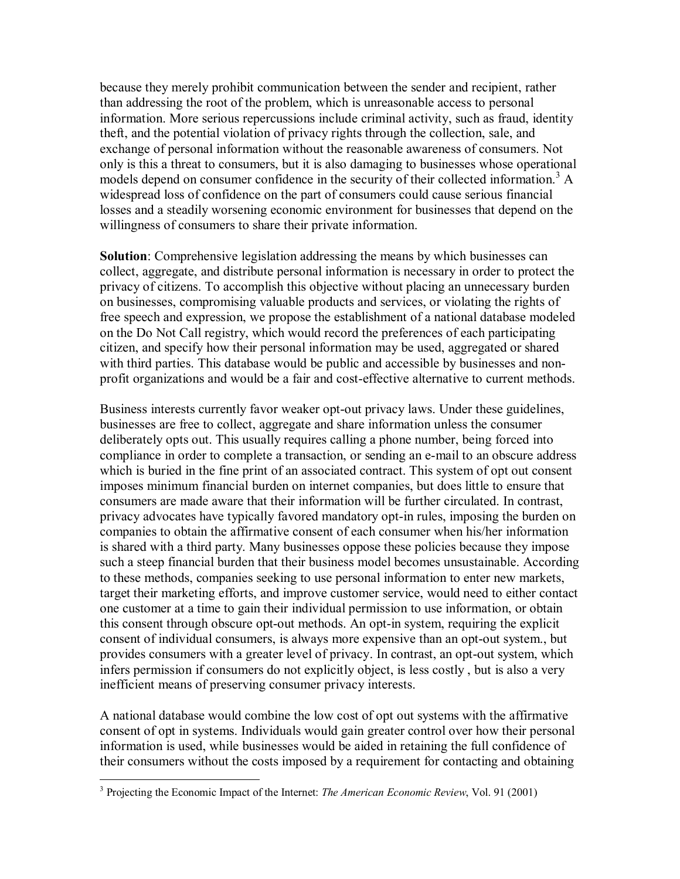because they merely prohibit communication between the sender and recipient, rather than addressing the root of the problem, which is unreasonable access to personal information. More serious repercussions include criminal activity, such as fraud, identity theft, and the potential violation of privacy rights through the collection, sale, and exchange of personal information without the reasonable awareness of consumers. Not only is this a threat to consumers, but it is also damaging to businesses whose operational models depend on consumer confidence in the security of their collected information.<sup>3</sup> A widespread loss of confidence on the part of consumers could cause serious financial losses and a steadily worsening economic environment for businesses that depend on the willingness of consumers to share their private information.

**Solution**: Comprehensive legislation addressing the means by which businesses can collect, aggregate, and distribute personal information is necessary in order to protect the privacy of citizens. To accomplish this objective without placing an unnecessary burden on businesses, compromising valuable products and services, or violating the rights of free speech and expression, we propose the establishment of a national database modeled on the Do Not Call registry, which would record the preferences of each participating citizen, and specify how their personal information may be used, aggregated or shared with third parties. This database would be public and accessible by businesses and nonprofit organizations and would be a fair and cost-effective alternative to current methods.

Business interests currently favor weaker opt-out privacy laws. Under these guidelines, businesses are free to collect, aggregate and share information unless the consumer deliberately opts out. This usually requires calling a phone number, being forced into compliance in order to complete a transaction, or sending an e-mail to an obscure address which is buried in the fine print of an associated contract. This system of opt out consent imposes minimum financial burden on internet companies, but does little to ensure that consumers are made aware that their information will be further circulated. In contrast, privacy advocates have typically favored mandatory opt-in rules, imposing the burden on companies to obtain the affirmative consent of each consumer when his/her information is shared with a third party. Many businesses oppose these policies because they impose such a steep financial burden that their business model becomes unsustainable. According to these methods, companies seeking to use personal information to enter new markets, target their marketing efforts, and improve customer service, would need to either contact one customer at a time to gain their individual permission to use information, or obtain this consent through obscure opt-out methods. An opt-in system, requiring the explicit consent of individual consumers, is always more expensive than an opt-out system., but provides consumers with a greater level of privacy. In contrast, an opt-out system, which infers permission if consumers do not explicitly object, is less costly , but is also a very inefficient means of preserving consumer privacy interests.

A national database would combine the low cost of opt out systems with the affirmative consent of opt in systems. Individuals would gain greater control over how their personal information is used, while businesses would be aided in retaining the full confidence of their consumers without the costs imposed by a requirement for contacting and obtaining

<sup>&</sup>lt;sup>3</sup> Projecting the Economic Impact of the Internet: *The American Economic Review*, Vol. 91 (2001)